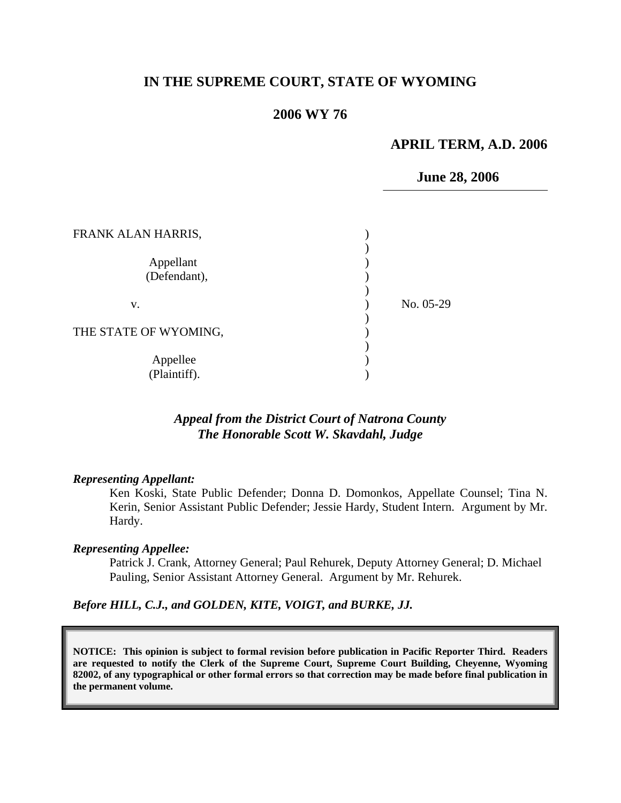## **IN THE SUPREME COURT, STATE OF WYOMING**

# **2006 WY 76**

### **APRIL TERM, A.D. 2006**

 **June 28, 2006**

| FRANK ALAN HARRIS,        |           |
|---------------------------|-----------|
| Appellant<br>(Defendant), |           |
| V.                        | No. 05-29 |
| THE STATE OF WYOMING,     |           |
| Appellee<br>(Plaintiff).  |           |

# *Appeal from the District Court of Natrona County The Honorable Scott W. Skavdahl, Judge*

#### *Representing Appellant:*

Ken Koski, State Public Defender; Donna D. Domonkos, Appellate Counsel; Tina N. Kerin, Senior Assistant Public Defender; Jessie Hardy, Student Intern. Argument by Mr. Hardy.

#### *Representing Appellee:*

Patrick J. Crank, Attorney General; Paul Rehurek, Deputy Attorney General; D. Michael Pauling, Senior Assistant Attorney General. Argument by Mr. Rehurek.

#### *Before HILL, C.J., and GOLDEN, KITE, VOIGT, and BURKE, JJ.*

**NOTICE: This opinion is subject to formal revision before publication in Pacific Reporter Third. Readers are requested to notify the Clerk of the Supreme Court, Supreme Court Building, Cheyenne, Wyoming 82002, of any typographical or other formal errors so that correction may be made before final publication in the permanent volume.**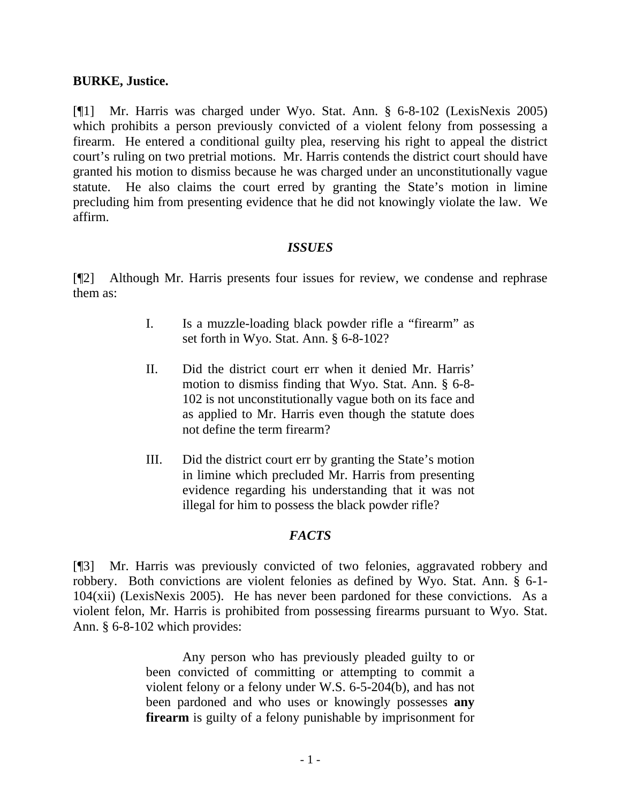## **BURKE, Justice.**

[¶1] Mr. Harris was charged under Wyo. Stat. Ann. § 6-8-102 (LexisNexis 2005) which prohibits a person previously convicted of a violent felony from possessing a firearm. He entered a conditional guilty plea, reserving his right to appeal the district court's ruling on two pretrial motions. Mr. Harris contends the district court should have granted his motion to dismiss because he was charged under an unconstitutionally vague statute. He also claims the court erred by granting the State's motion in limine precluding him from presenting evidence that he did not knowingly violate the law. We affirm.

# *ISSUES*

[¶2] Although Mr. Harris presents four issues for review, we condense and rephrase them as:

- I. Is a muzzle-loading black powder rifle a "firearm" as set forth in Wyo. Stat. Ann. § 6-8-102?
- II. Did the district court err when it denied Mr. Harris' motion to dismiss finding that Wyo. Stat. Ann. § 6-8- 102 is not unconstitutionally vague both on its face and as applied to Mr. Harris even though the statute does not define the term firearm?
- III. Did the district court err by granting the State's motion in limine which precluded Mr. Harris from presenting evidence regarding his understanding that it was not illegal for him to possess the black powder rifle?

### *FACTS*

[¶3] Mr. Harris was previously convicted of two felonies, aggravated robbery and robbery. Both convictions are violent felonies as defined by Wyo. Stat. Ann. § 6-1- 104(xii) (LexisNexis 2005). He has never been pardoned for these convictions. As a violent felon, Mr. Harris is prohibited from possessing firearms pursuant to Wyo. Stat. Ann. § 6-8-102 which provides:

> Any person who has previously pleaded guilty to or been convicted of committing or attempting to commit a violent felony or a felony under W.S. 6-5-204(b), and has not been pardoned and who uses or knowingly possesses **any firearm** is guilty of a felony punishable by imprisonment for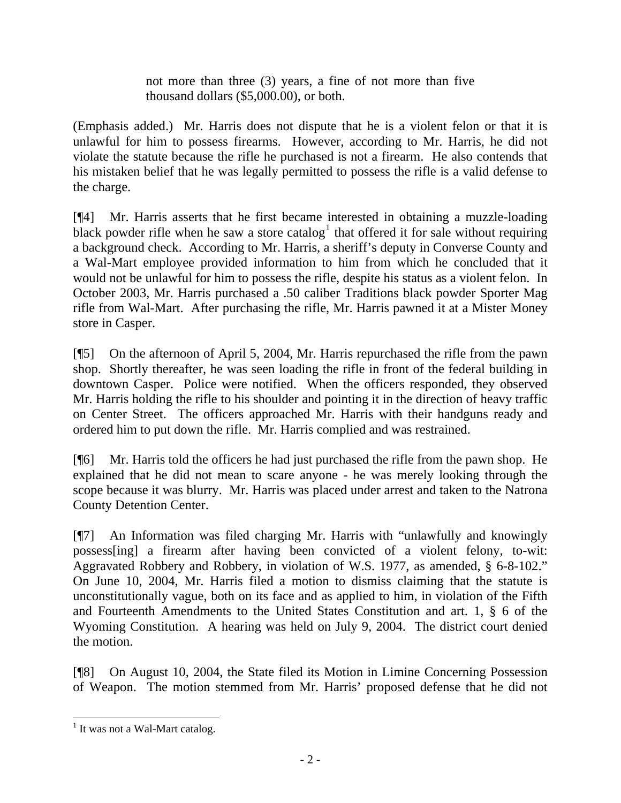not more than three (3) years, a fine of not more than five thousand dollars (\$5,000.00), or both.

(Emphasis added.) Mr. Harris does not dispute that he is a violent felon or that it is unlawful for him to possess firearms. However, according to Mr. Harris, he did not violate the statute because the rifle he purchased is not a firearm. He also contends that his mistaken belief that he was legally permitted to possess the rifle is a valid defense to the charge.

[¶4] Mr. Harris asserts that he first became interested in obtaining a muzzle-loading black powder rifle when he saw a store catalog<sup>[1](#page-2-0)</sup> that offered it for sale without requiring a background check. According to Mr. Harris, a sheriff's deputy in Converse County and a Wal-Mart employee provided information to him from which he concluded that it would not be unlawful for him to possess the rifle, despite his status as a violent felon. In October 2003, Mr. Harris purchased a .50 caliber Traditions black powder Sporter Mag rifle from Wal-Mart. After purchasing the rifle, Mr. Harris pawned it at a Mister Money store in Casper.

[¶5] On the afternoon of April 5, 2004, Mr. Harris repurchased the rifle from the pawn shop. Shortly thereafter, he was seen loading the rifle in front of the federal building in downtown Casper. Police were notified. When the officers responded, they observed Mr. Harris holding the rifle to his shoulder and pointing it in the direction of heavy traffic on Center Street. The officers approached Mr. Harris with their handguns ready and ordered him to put down the rifle. Mr. Harris complied and was restrained.

[¶6] Mr. Harris told the officers he had just purchased the rifle from the pawn shop. He explained that he did not mean to scare anyone - he was merely looking through the scope because it was blurry. Mr. Harris was placed under arrest and taken to the Natrona County Detention Center.

[¶7] An Information was filed charging Mr. Harris with "unlawfully and knowingly possess[ing] a firearm after having been convicted of a violent felony, to-wit: Aggravated Robbery and Robbery, in violation of W.S. 1977, as amended, § 6-8-102." On June 10, 2004, Mr. Harris filed a motion to dismiss claiming that the statute is unconstitutionally vague, both on its face and as applied to him, in violation of the Fifth and Fourteenth Amendments to the United States Constitution and art. 1, § 6 of the Wyoming Constitution. A hearing was held on July 9, 2004. The district court denied the motion.

[¶8] On August 10, 2004, the State filed its Motion in Limine Concerning Possession of Weapon. The motion stemmed from Mr. Harris' proposed defense that he did not

<span id="page-2-0"></span> $\overline{a}$ <sup>1</sup> It was not a Wal-Mart catalog.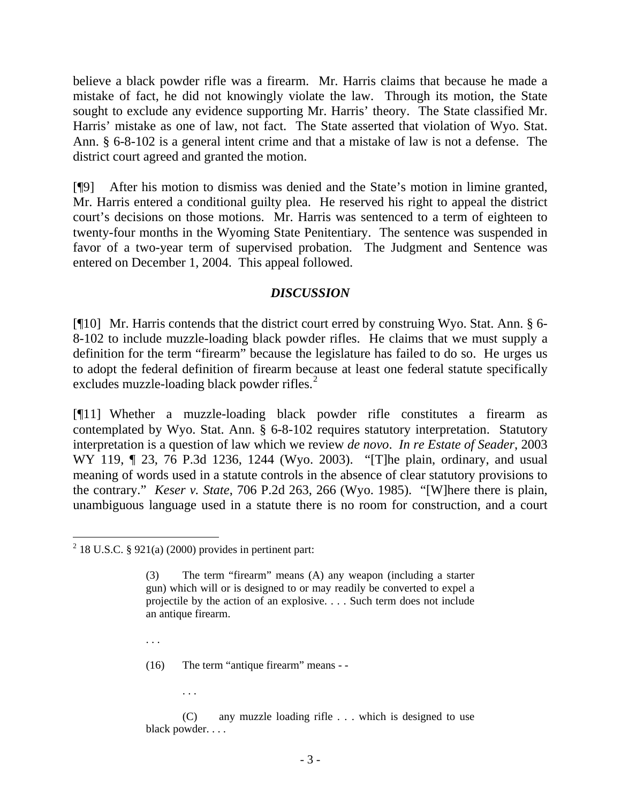believe a black powder rifle was a firearm. Mr. Harris claims that because he made a mistake of fact, he did not knowingly violate the law. Through its motion, the State sought to exclude any evidence supporting Mr. Harris' theory. The State classified Mr. Harris' mistake as one of law, not fact. The State asserted that violation of Wyo. Stat. Ann. § 6-8-102 is a general intent crime and that a mistake of law is not a defense. The district court agreed and granted the motion.

[¶9] After his motion to dismiss was denied and the State's motion in limine granted, Mr. Harris entered a conditional guilty plea. He reserved his right to appeal the district court's decisions on those motions. Mr. Harris was sentenced to a term of eighteen to twenty-four months in the Wyoming State Penitentiary. The sentence was suspended in favor of a two-year term of supervised probation. The Judgment and Sentence was entered on December 1, 2004. This appeal followed.

### *DISCUSSION*

[¶10] Mr. Harris contends that the district court erred by construing Wyo. Stat. Ann. § 6- 8-102 to include muzzle-loading black powder rifles. He claims that we must supply a definition for the term "firearm" because the legislature has failed to do so. He urges us to adopt the federal definition of firearm because at least one federal statute specifically excludes muzzle-loading black powder rifles. $<sup>2</sup>$  $<sup>2</sup>$  $<sup>2</sup>$ </sup>

[¶11] Whether a muzzle-loading black powder rifle constitutes a firearm as contemplated by Wyo. Stat. Ann. § 6-8-102 requires statutory interpretation. Statutory interpretation is a question of law which we review *de novo*. *In re Estate of Seader*, 2003 WY 119,  $\parallel$  23, 76 P.3d 1236, 1244 (Wyo. 2003). "[T]he plain, ordinary, and usual meaning of words used in a statute controls in the absence of clear statutory provisions to the contrary." *Keser v. State*, 706 P.2d 263, 266 (Wyo. 1985). "[W]here there is plain, unambiguous language used in a statute there is no room for construction, and a court

. . .

. . .

 $\overline{a}$ 

(16) The term "antique firearm" means - -

 (C) any muzzle loading rifle . . . which is designed to use black powder. . . .

<span id="page-3-0"></span> $2$  18 U.S.C. § 921(a) (2000) provides in pertinent part:

The term "firearm" means (A) any weapon (including a starter gun) which will or is designed to or may readily be converted to expel a projectile by the action of an explosive. . . . Such term does not include an antique firearm.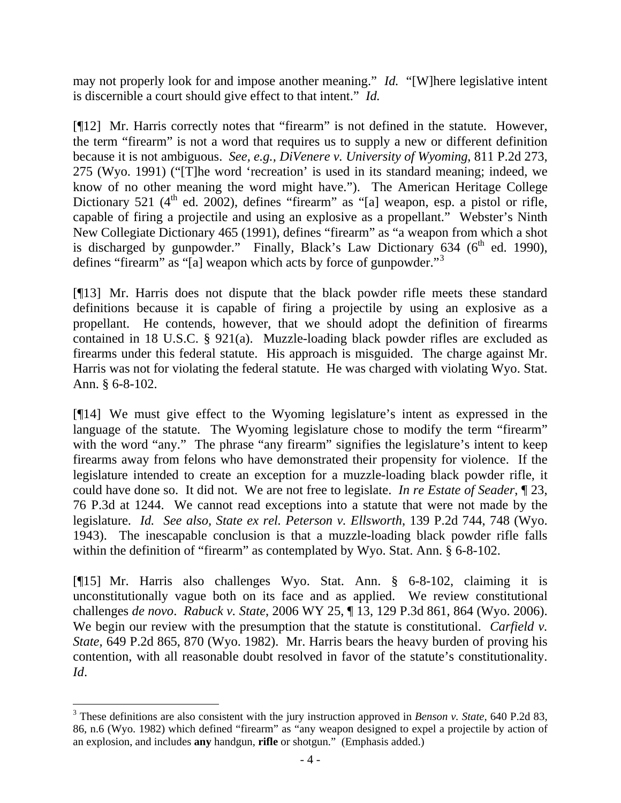may not properly look for and impose another meaning." *Id.* "[W]here legislative intent is discernible a court should give effect to that intent." *Id.* 

[¶12] Mr. Harris correctly notes that "firearm" is not defined in the statute. However, the term "firearm" is not a word that requires us to supply a new or different definition because it is not ambiguous. *See, e.g., DiVenere v. University of Wyoming*, 811 P.2d 273, 275 (Wyo. 1991) ("[T]he word 'recreation' is used in its standard meaning; indeed, we know of no other meaning the word might have."). The American Heritage College Dictionary 521  $(4<sup>th</sup>$  ed. 2002), defines "firearm" as "[a] weapon, esp. a pistol or rifle, capable of firing a projectile and using an explosive as a propellant." Webster's Ninth New Collegiate Dictionary 465 (1991), defines "firearm" as "a weapon from which a shot is discharged by gunpowder." Finally, Black's Law Dictionary 634 ( $6<sup>th</sup>$  ed. 1990), defines "firearm" as "[a] weapon which acts by force of gunpowder."[3](#page-4-0)

[¶13] Mr. Harris does not dispute that the black powder rifle meets these standard definitions because it is capable of firing a projectile by using an explosive as a propellant. He contends, however, that we should adopt the definition of firearms contained in 18 U.S.C. § 921(a). Muzzle-loading black powder rifles are excluded as firearms under this federal statute. His approach is misguided. The charge against Mr. Harris was not for violating the federal statute. He was charged with violating Wyo. Stat. Ann. § 6-8-102.

[¶14] We must give effect to the Wyoming legislature's intent as expressed in the language of the statute. The Wyoming legislature chose to modify the term "firearm" with the word "any." The phrase "any firearm" signifies the legislature's intent to keep firearms away from felons who have demonstrated their propensity for violence. If the legislature intended to create an exception for a muzzle-loading black powder rifle, it could have done so. It did not. We are not free to legislate. *In re Estate of Seader*, ¶ 23, 76 P.3d at 1244. We cannot read exceptions into a statute that were not made by the legislature. *Id. See also, State ex rel. Peterson v. Ellsworth*, 139 P.2d 744, 748 (Wyo. 1943). The inescapable conclusion is that a muzzle-loading black powder rifle falls within the definition of "firearm" as contemplated by Wyo. Stat. Ann. § 6-8-102.

[¶15] Mr. Harris also challenges Wyo. Stat. Ann. § 6-8-102, claiming it is unconstitutionally vague both on its face and as applied. We review constitutional challenges *de novo*. *Rabuck v. State*, 2006 WY 25, ¶ 13, 129 P.3d 861, 864 (Wyo. 2006). We begin our review with the presumption that the statute is constitutional. *Carfield v. State,* 649 P.2d 865, 870 (Wyo. 1982). Mr. Harris bears the heavy burden of proving his contention, with all reasonable doubt resolved in favor of the statute's constitutionality. *Id*.

 $\overline{a}$ 

<span id="page-4-0"></span><sup>3</sup> These definitions are also consistent with the jury instruction approved in *Benson v. State,* 640 P.2d 83, 86, n.6 (Wyo. 1982) which defined "firearm" as "any weapon designed to expel a projectile by action of an explosion, and includes **any** handgun, **rifle** or shotgun." (Emphasis added.)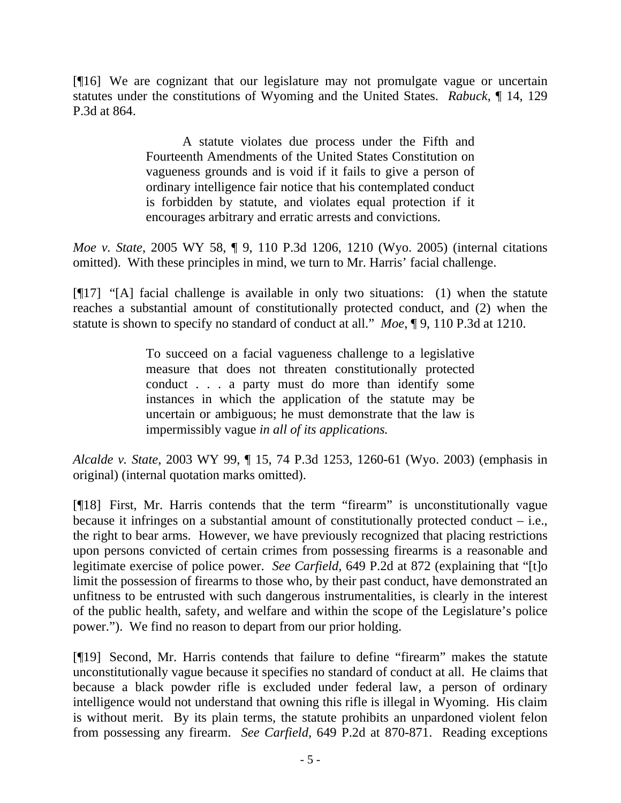[¶16] We are cognizant that our legislature may not promulgate vague or uncertain statutes under the constitutions of Wyoming and the United States. *Rabuck*, ¶ 14, 129 P.3d at 864.

> A statute violates due process under the Fifth and Fourteenth Amendments of the United States Constitution on vagueness grounds and is void if it fails to give a person of ordinary intelligence fair notice that his contemplated conduct is forbidden by statute, and violates equal protection if it encourages arbitrary and erratic arrests and convictions.

*Moe v. State*, 2005 WY 58, ¶ 9, 110 P.3d 1206, 1210 (Wyo. 2005) (internal citations omitted). With these principles in mind, we turn to Mr. Harris' facial challenge.

[¶17] "[A] facial challenge is available in only two situations: (1) when the statute reaches a substantial amount of constitutionally protected conduct, and (2) when the statute is shown to specify no standard of conduct at all." *Moe*, ¶ 9, 110 P.3d at 1210.

> To succeed on a facial vagueness challenge to a legislative measure that does not threaten constitutionally protected conduct . . . a party must do more than identify some instances in which the application of the statute may be uncertain or ambiguous; he must demonstrate that the law is impermissibly vague *in all of its applications.*

*Alcalde v. State*, 2003 WY 99, ¶ 15, 74 P.3d 1253, 1260-61 (Wyo. 2003) (emphasis in original) (internal quotation marks omitted).

[¶18] First, Mr. Harris contends that the term "firearm" is unconstitutionally vague because it infringes on a substantial amount of constitutionally protected conduct  $-$  i.e., the right to bear arms. However, we have previously recognized that placing restrictions upon persons convicted of certain crimes from possessing firearms is a reasonable and legitimate exercise of police power. *See Carfield,* 649 P.2d at 872 (explaining that "[t]o limit the possession of firearms to those who, by their past conduct, have demonstrated an unfitness to be entrusted with such dangerous instrumentalities, is clearly in the interest of the public health, safety, and welfare and within the scope of the Legislature's police power."). We find no reason to depart from our prior holding.

[¶19] Second, Mr. Harris contends that failure to define "firearm" makes the statute unconstitutionally vague because it specifies no standard of conduct at all. He claims that because a black powder rifle is excluded under federal law, a person of ordinary intelligence would not understand that owning this rifle is illegal in Wyoming. His claim is without merit. By its plain terms, the statute prohibits an unpardoned violent felon from possessing any firearm. *See Carfield,* 649 P.2d at 870-871. Reading exceptions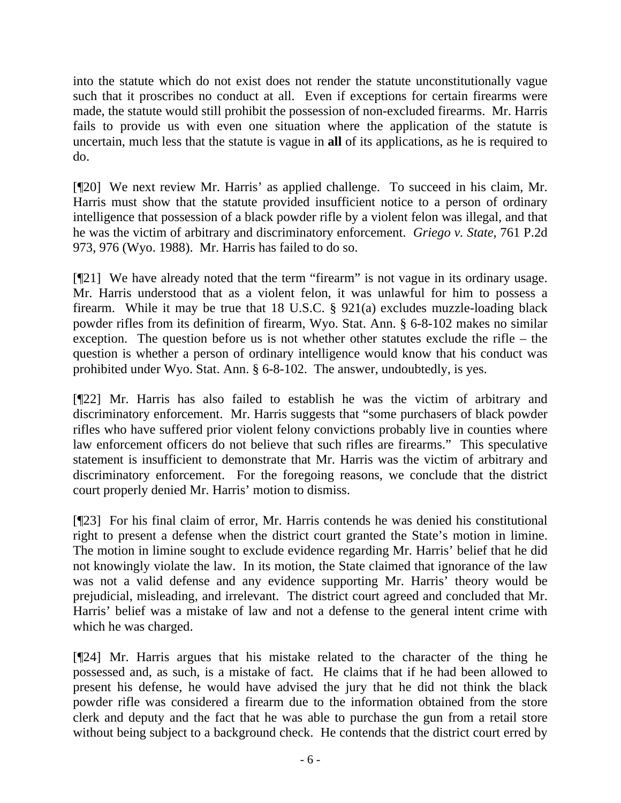into the statute which do not exist does not render the statute unconstitutionally vague such that it proscribes no conduct at all. Even if exceptions for certain firearms were made, the statute would still prohibit the possession of non-excluded firearms. Mr. Harris fails to provide us with even one situation where the application of the statute is uncertain, much less that the statute is vague in **all** of its applications, as he is required to do.

[¶20] We next review Mr. Harris' as applied challenge. To succeed in his claim, Mr. Harris must show that the statute provided insufficient notice to a person of ordinary intelligence that possession of a black powder rifle by a violent felon was illegal, and that he was the victim of arbitrary and discriminatory enforcement. *Griego v. State*, 761 P.2d 973, 976 (Wyo. 1988). Mr. Harris has failed to do so.

[¶21] We have already noted that the term "firearm" is not vague in its ordinary usage. Mr. Harris understood that as a violent felon, it was unlawful for him to possess a firearm. While it may be true that 18 U.S.C. § 921(a) excludes muzzle-loading black powder rifles from its definition of firearm, Wyo. Stat. Ann. § 6-8-102 makes no similar exception. The question before us is not whether other statutes exclude the rifle – the question is whether a person of ordinary intelligence would know that his conduct was prohibited under Wyo. Stat. Ann. § 6-8-102. The answer, undoubtedly, is yes.

[¶22] Mr. Harris has also failed to establish he was the victim of arbitrary and discriminatory enforcement. Mr. Harris suggests that "some purchasers of black powder rifles who have suffered prior violent felony convictions probably live in counties where law enforcement officers do not believe that such rifles are firearms." This speculative statement is insufficient to demonstrate that Mr. Harris was the victim of arbitrary and discriminatory enforcement. For the foregoing reasons, we conclude that the district court properly denied Mr. Harris' motion to dismiss.

[¶23] For his final claim of error, Mr. Harris contends he was denied his constitutional right to present a defense when the district court granted the State's motion in limine. The motion in limine sought to exclude evidence regarding Mr. Harris' belief that he did not knowingly violate the law. In its motion, the State claimed that ignorance of the law was not a valid defense and any evidence supporting Mr. Harris' theory would be prejudicial, misleading, and irrelevant. The district court agreed and concluded that Mr. Harris' belief was a mistake of law and not a defense to the general intent crime with which he was charged.

[¶24] Mr. Harris argues that his mistake related to the character of the thing he possessed and, as such, is a mistake of fact. He claims that if he had been allowed to present his defense, he would have advised the jury that he did not think the black powder rifle was considered a firearm due to the information obtained from the store clerk and deputy and the fact that he was able to purchase the gun from a retail store without being subject to a background check. He contends that the district court erred by